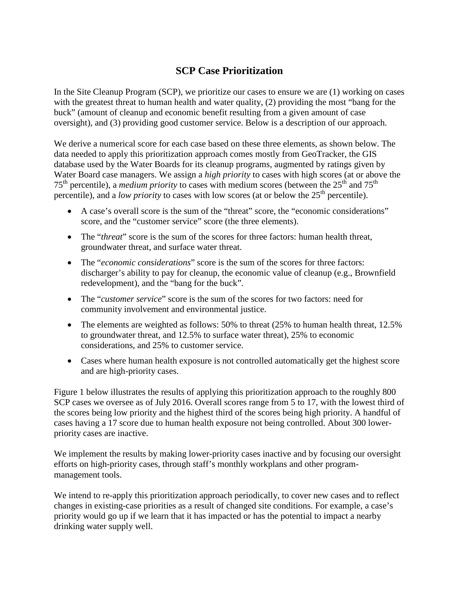## **SCP Case Prioritization**

In the Site Cleanup Program (SCP), we prioritize our cases to ensure we are (1) working on cases with the greatest threat to human health and water quality, (2) providing the most "bang for the buck" (amount of cleanup and economic benefit resulting from a given amount of case oversight), and (3) providing good customer service. Below is a description of our approach.

We derive a numerical score for each case based on these three elements, as shown below. The data needed to apply this prioritization approach comes mostly from GeoTracker, the GIS database used by the Water Boards for its cleanup programs, augmented by ratings given by Water Board case managers. We assign a *high priority* to cases with high scores (at or above the 75th percentile), a *medium priority* to cases with medium scores (between the 25th and 75th percentile), and a *low priority* to cases with low scores (at or below the 25<sup>th</sup> percentile).

- A case's overall score is the sum of the "threat" score, the "economic considerations" score, and the "customer service" score (the three elements).
- The "*threat*" score is the sum of the scores for three factors: human health threat, groundwater threat, and surface water threat.
- The "*economic considerations*" score is the sum of the scores for three factors: discharger's ability to pay for cleanup, the economic value of cleanup (e.g., Brownfield redevelopment), and the "bang for the buck".
- The "*customer service*" score is the sum of the scores for two factors: need for community involvement and environmental justice.
- The elements are weighted as follows: 50% to threat (25% to human health threat, 12.5%) to groundwater threat, and 12.5% to surface water threat), 25% to economic considerations, and 25% to customer service.
- Cases where human health exposure is not controlled automatically get the highest score and are high-priority cases.

Figure 1 below illustrates the results of applying this prioritization approach to the roughly 800 SCP cases we oversee as of July 2016. Overall scores range from 5 to 17, with the lowest third of the scores being low priority and the highest third of the scores being high priority. A handful of cases having a 17 score due to human health exposure not being controlled. About 300 lowerpriority cases are inactive.

We implement the results by making lower-priority cases inactive and by focusing our oversight efforts on high-priority cases, through staff's monthly workplans and other programmanagement tools.

We intend to re-apply this prioritization approach periodically, to cover new cases and to reflect changes in existing-case priorities as a result of changed site conditions. For example, a case's priority would go up if we learn that it has impacted or has the potential to impact a nearby drinking water supply well.